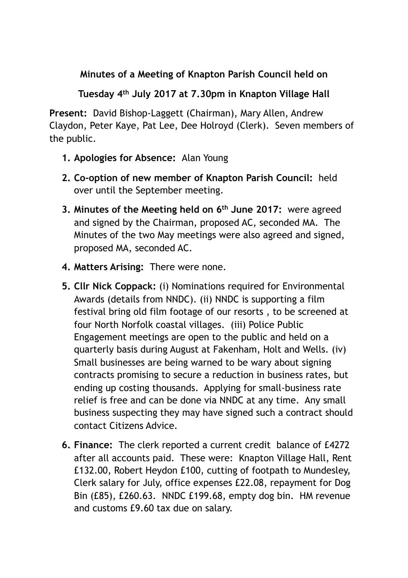## **Minutes of a Meeting of Knapton Parish Council held on**

**Tuesday 4th July 2017 at 7.30pm in Knapton Village Hall** 

**Present:** David Bishop-Laggett (Chairman), Mary Allen, Andrew Claydon, Peter Kaye, Pat Lee, Dee Holroyd (Clerk). Seven members of the public.

- **1. Apologies for Absence:** Alan Young
- **2. Co-option of new member of Knapton Parish Council:** held over until the September meeting.
- **3. Minutes of the Meeting held on 6th June 2017:** were agreed and signed by the Chairman, proposed AC, seconded MA. The Minutes of the two May meetings were also agreed and signed, proposed MA, seconded AC.
- **4. Matters Arising:** There were none.
- **5. Cllr Nick Coppack:** (i) Nominations required for Environmental Awards (details from NNDC). (ii) NNDC is supporting a film festival bring old film footage of our resorts , to be screened at four North Norfolk coastal villages. (iii) Police Public Engagement meetings are open to the public and held on a quarterly basis during August at Fakenham, Holt and Wells. (iv) Small businesses are being warned to be wary about signing contracts promising to secure a reduction in business rates, but ending up costing thousands. Applying for small-business rate relief is free and can be done via NNDC at any time. Any small business suspecting they may have signed such a contract should contact Citizens Advice.
- **6. Finance:** The clerk reported a current credit balance of £4272 after all accounts paid. These were: Knapton Village Hall, Rent £132.00, Robert Heydon £100, cutting of footpath to Mundesley, Clerk salary for July, office expenses £22.08, repayment for Dog Bin (£85), £260.63. NNDC £199.68, empty dog bin. HM revenue and customs £9.60 tax due on salary.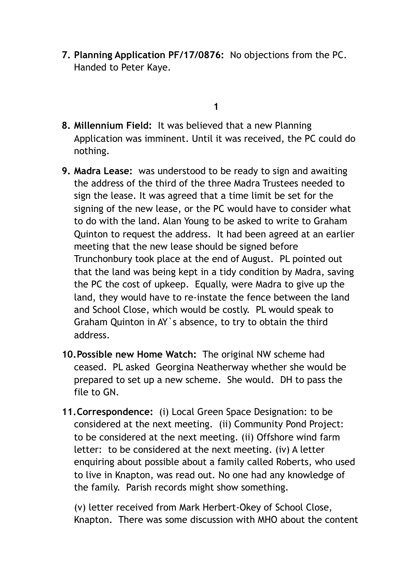**7. Planning Application PF/17/0876:** No objections from the PC. Handed to Peter Kaye.

## **1**

- **8. Millennium Field:** It was believed that a new Planning Application was imminent. Until it was received, the PC could do nothing.
- **9. Madra Lease:** was understood to be ready to sign and awaiting the address of the third of the three Madra Trustees needed to sign the lease. It was agreed that a time limit be set for the signing of the new lease, or the PC would have to consider what to do with the land. Alan Young to be asked to write to Graham Quinton to request the address. It had been agreed at an earlier meeting that the new lease should be signed before Trunchonbury took place at the end of August. PL pointed out that the land was being kept in a tidy condition by Madra, saving the PC the cost of upkeep. Equally, were Madra to give up the land, they would have to re-instate the fence between the land and School Close, which would be costly. PL would speak to Graham Quinton in AY`s absence, to try to obtain the third address.
- **10.Possible new Home Watch:** The original NW scheme had ceased. PL asked Georgina Neatherway whether she would be prepared to set up a new scheme. She would. DH to pass the file to GN.
- **11.Correspondence:** (i) Local Green Space Designation: to be considered at the next meeting. (ii) Community Pond Project: to be considered at the next meeting. (ii) Offshore wind farm letter: to be considered at the next meeting. (iv) A letter enquiring about possible about a family called Roberts, who used to live in Knapton, was read out. No one had any knowledge of the family. Parish records might show something.

(v) letter received from Mark Herbert-Okey of School Close, Knapton. There was some discussion with MHO about the content